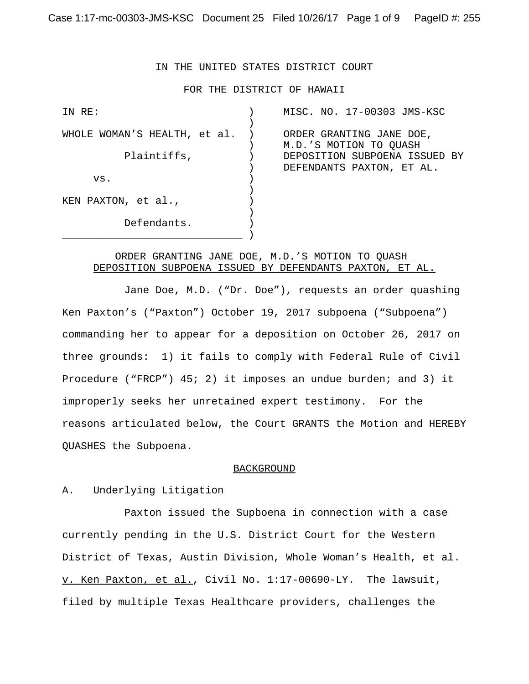# IN THE UNITED STATES DISTRICT COURT

### FOR THE DISTRICT OF HAWAII

| IN RE:                       | MISC. NO. 17-00303 JMS-KSC    |
|------------------------------|-------------------------------|
|                              |                               |
| WHOLE WOMAN'S HEALTH, et al. | ORDER GRANTING JANE DOE,      |
|                              | M.D.'S MOTION TO QUASH        |
| Plaintiffs,                  | DEPOSITION SUBPOENA ISSUED BY |
|                              | DEFENDANTS PAXTON, ET AL.     |
| VS.                          |                               |
|                              |                               |
| KEN PAXTON, et al.,          |                               |
|                              |                               |
| Defendants.                  |                               |
|                              |                               |

# ORDER GRANTING JANE DOE, M.D.'S MOTION TO QUASH DEPOSITION SUBPOENA ISSUED BY DEFENDANTS PAXTON, ET AL.

Jane Doe, M.D. ("Dr. Doe"), requests an order quashing Ken Paxton's ("Paxton") October 19, 2017 subpoena ("Subpoena") commanding her to appear for a deposition on October 26, 2017 on three grounds: 1) it fails to comply with Federal Rule of Civil Procedure ("FRCP") 45; 2) it imposes an undue burden; and 3) it improperly seeks her unretained expert testimony. For the reasons articulated below, the Court GRANTS the Motion and HEREBY QUASHES the Subpoena.

#### **BACKGROUND**

## A. Underlying Litigation

Paxton issued the Supboena in connection with a case currently pending in the U.S. District Court for the Western District of Texas, Austin Division, Whole Woman's Health, et al. v. Ken Paxton, et al., Civil No. 1:17-00690-LY. The lawsuit, filed by multiple Texas Healthcare providers, challenges the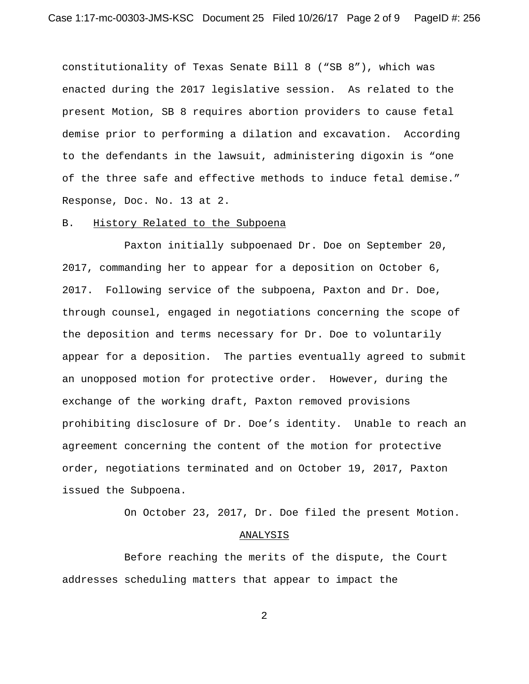constitutionality of Texas Senate Bill 8 ("SB 8"), which was enacted during the 2017 legislative session. As related to the present Motion, SB 8 requires abortion providers to cause fetal demise prior to performing a dilation and excavation. According to the defendants in the lawsuit, administering digoxin is "one of the three safe and effective methods to induce fetal demise." Response, Doc. No. 13 at 2.

### B. History Related to the Subpoena

Paxton initially subpoenaed Dr. Doe on September 20, 2017, commanding her to appear for a deposition on October 6, 2017. Following service of the subpoena, Paxton and Dr. Doe, through counsel, engaged in negotiations concerning the scope of the deposition and terms necessary for Dr. Doe to voluntarily appear for a deposition. The parties eventually agreed to submit an unopposed motion for protective order. However, during the exchange of the working draft, Paxton removed provisions prohibiting disclosure of Dr. Doe's identity. Unable to reach an agreement concerning the content of the motion for protective order, negotiations terminated and on October 19, 2017, Paxton issued the Subpoena.

On October 23, 2017, Dr. Doe filed the present Motion.

#### ANALYSIS

Before reaching the merits of the dispute, the Court addresses scheduling matters that appear to impact the

2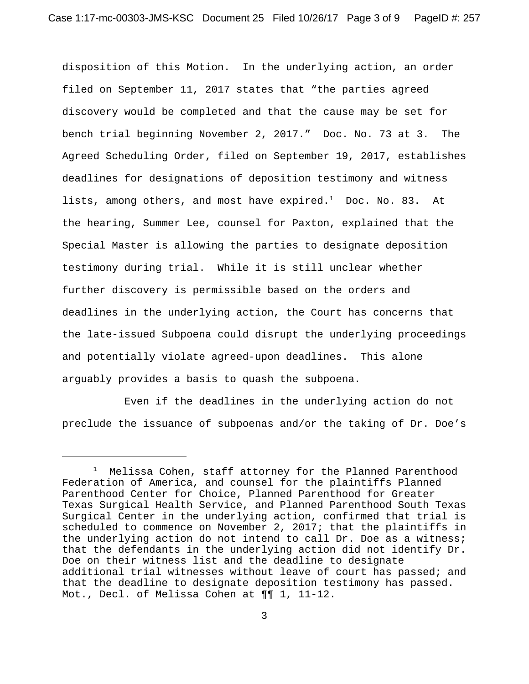disposition of this Motion. In the underlying action, an order filed on September 11, 2017 states that "the parties agreed discovery would be completed and that the cause may be set for bench trial beginning November 2, 2017." Doc. No. 73 at 3. The Agreed Scheduling Order, filed on September 19, 2017, establishes deadlines for designations of deposition testimony and witness lists, among others, and most have  $\mathtt{expired.^1}$  Doc. No. 83. At the hearing, Summer Lee, counsel for Paxton, explained that the Special Master is allowing the parties to designate deposition testimony during trial. While it is still unclear whether further discovery is permissible based on the orders and deadlines in the underlying action, the Court has concerns that the late-issued Subpoena could disrupt the underlying proceedings and potentially violate agreed-upon deadlines. This alone arguably provides a basis to quash the subpoena.

Even if the deadlines in the underlying action do not preclude the issuance of subpoenas and/or the taking of Dr. Doe's

<sup>1</sup> Melissa Cohen, staff attorney for the Planned Parenthood Federation of America, and counsel for the plaintiffs Planned Parenthood Center for Choice, Planned Parenthood for Greater Texas Surgical Health Service, and Planned Parenthood South Texas Surgical Center in the underlying action, confirmed that trial is scheduled to commence on November 2, 2017; that the plaintiffs in the underlying action do not intend to call Dr. Doe as a witness; that the defendants in the underlying action did not identify Dr. Doe on their witness list and the deadline to designate additional trial witnesses without leave of court has passed; and that the deadline to designate deposition testimony has passed. Mot., Decl. of Melissa Cohen at ¶¶ 1, 11-12.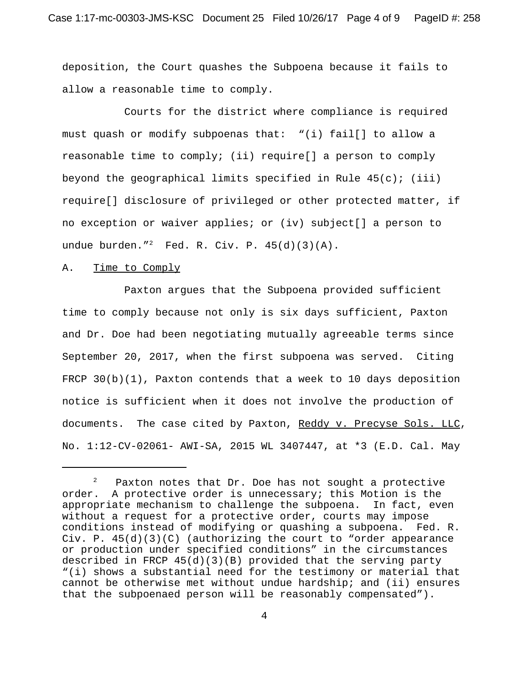deposition, the Court quashes the Subpoena because it fails to allow a reasonable time to comply.

Courts for the district where compliance is required must quash or modify subpoenas that: "(i) fail[] to allow a reasonable time to comply; (ii) require[] a person to comply beyond the geographical limits specified in Rule  $45(c)$ ; (iii) require[] disclosure of privileged or other protected matter, if no exception or waiver applies; or (iv) subject[] a person to undue burden."<sup>2</sup> Fed. R. Civ. P.  $45(d)(3)(A)$ .

## A. Time to Comply

Paxton argues that the Subpoena provided sufficient time to comply because not only is six days sufficient, Paxton and Dr. Doe had been negotiating mutually agreeable terms since September 20, 2017, when the first subpoena was served. Citing FRCP  $30(b)(1)$ , Paxton contends that a week to 10 days deposition notice is sufficient when it does not involve the production of documents. The case cited by Paxton, Reddy v. Precyse Sols. LLC, No. 1:12-CV-02061- AWI-SA, 2015 WL 3407447, at \*3 (E.D. Cal. May

<sup>2</sup> Paxton notes that Dr. Doe has not sought a protective order. A protective order is unnecessary; this Motion is the appropriate mechanism to challenge the subpoena. In fact, even without a request for a protective order, courts may impose conditions instead of modifying or quashing a subpoena. Fed. R. Civ. P.  $45(d)(3)(C)$  (authorizing the court to "order appearance or production under specified conditions" in the circumstances described in FRCP 45(d)(3)(B) provided that the serving party "(i) shows a substantial need for the testimony or material that cannot be otherwise met without undue hardship; and (ii) ensures that the subpoenaed person will be reasonably compensated").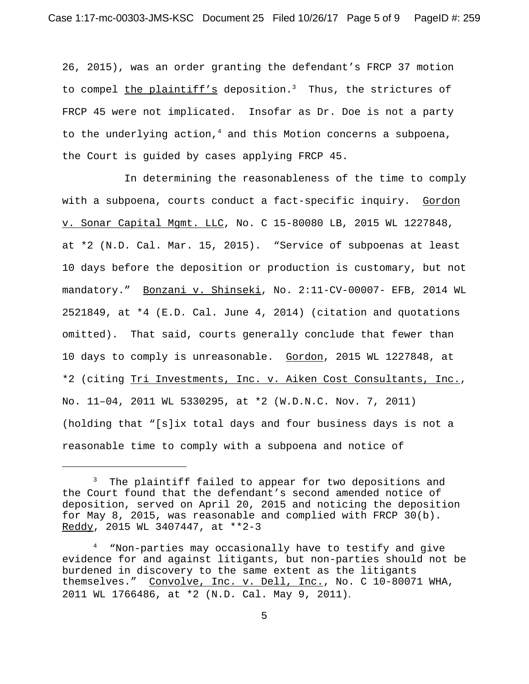26, 2015), was an order granting the defendant's FRCP 37 motion to compel the plaintiff's deposition.<sup>3</sup> Thus, the strictures of FRCP 45 were not implicated. Insofar as Dr. Doe is not a party to the underlying action, $<sup>4</sup>$  and this Motion concerns a subpoena,</sup> the Court is guided by cases applying FRCP 45.

In determining the reasonableness of the time to comply with a subpoena, courts conduct a fact-specific inquiry. Gordon v. Sonar Capital Mgmt. LLC, No. C 15-80080 LB, 2015 WL 1227848, at \*2 (N.D. Cal. Mar. 15, 2015). "Service of subpoenas at least 10 days before the deposition or production is customary, but not mandatory." Bonzani v. Shinseki, No. 2:11-CV-00007- EFB, 2014 WL 2521849, at \*4 (E.D. Cal. June 4, 2014) (citation and quotations omitted). That said, courts generally conclude that fewer than 10 days to comply is unreasonable. Gordon, 2015 WL 1227848, at \*2 (citing Tri Investments, Inc. v. Aiken Cost Consultants, Inc., No. 11–04, 2011 WL 5330295, at \*2 (W.D.N.C. Nov. 7, 2011) (holding that "[s]ix total days and four business days is not a reasonable time to comply with a subpoena and notice of

<sup>&</sup>lt;sup>3</sup> The plaintiff failed to appear for two depositions and the Court found that the defendant's second amended notice of deposition, served on April 20, 2015 and noticing the deposition for May 8, 2015, was reasonable and complied with FRCP 30(b). Reddy, 2015 WL 3407447, at \*\*2-3

<sup>4</sup> "Non-parties may occasionally have to testify and give evidence for and against litigants, but non-parties should not be burdened in discovery to the same extent as the litigants themselves." Convolve, Inc. v. Dell, Inc., No. C 10-80071 WHA, 2011 WL 1766486, at \*2 (N.D. Cal. May 9, 2011).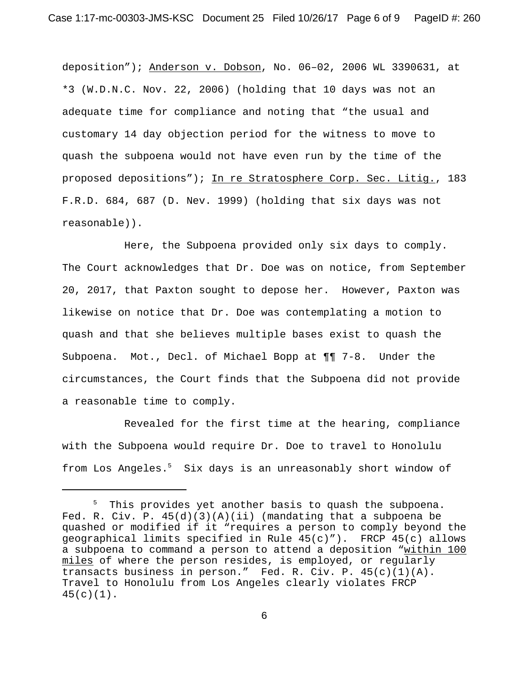deposition"); Anderson v. Dobson, No. 06–02, 2006 WL 3390631, at \*3 (W.D.N.C. Nov. 22, 2006) (holding that 10 days was not an adequate time for compliance and noting that "the usual and customary 14 day objection period for the witness to move to quash the subpoena would not have even run by the time of the proposed depositions"); In re Stratosphere Corp. Sec. Litig., 183 F.R.D. 684, 687 (D. Nev. 1999) (holding that six days was not reasonable)).

Here, the Subpoena provided only six days to comply. The Court acknowledges that Dr. Doe was on notice, from September 20, 2017, that Paxton sought to depose her. However, Paxton was likewise on notice that Dr. Doe was contemplating a motion to quash and that she believes multiple bases exist to quash the Subpoena. Mot., Decl. of Michael Bopp at ¶¶ 7-8. Under the circumstances, the Court finds that the Subpoena did not provide a reasonable time to comply.

Revealed for the first time at the hearing, compliance with the Subpoena would require Dr. Doe to travel to Honolulu from Los Angeles.<sup>5</sup> Six days is an unreasonably short window of

<sup>&</sup>lt;sup>5</sup> This provides yet another basis to quash the subpoena. Fed. R. Civ. P.  $45(d)(3)(A)(ii)$  (mandating that a subpoena be quashed or modified if it "requires a person to comply beyond the geographical limits specified in Rule  $45(c)$ "). FRCP  $45(c)$  allows a subpoena to command a person to attend a deposition "within 100 miles of where the person resides, is employed, or regularly transacts business in person." Fed. R. Civ. P.  $45(c)(1)(A)$ . Travel to Honolulu from Los Angeles clearly violates FRCP  $45(c)(1)$ .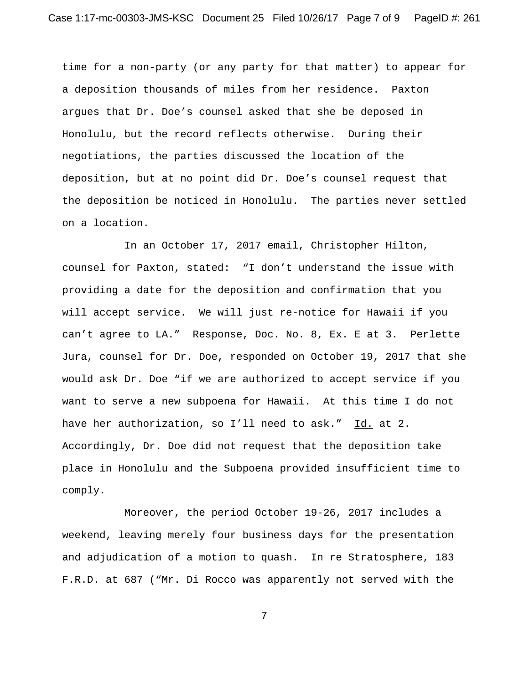time for a non-party (or any party for that matter) to appear for a deposition thousands of miles from her residence. Paxton argues that Dr. Doe's counsel asked that she be deposed in Honolulu, but the record reflects otherwise. During their negotiations, the parties discussed the location of the deposition, but at no point did Dr. Doe's counsel request that the deposition be noticed in Honolulu. The parties never settled on a location.

In an October 17, 2017 email, Christopher Hilton, counsel for Paxton, stated: "I don't understand the issue with providing a date for the deposition and confirmation that you will accept service. We will just re-notice for Hawaii if you can't agree to LA." Response, Doc. No. 8, Ex. E at 3. Perlette Jura, counsel for Dr. Doe, responded on October 19, 2017 that she would ask Dr. Doe "if we are authorized to accept service if you want to serve a new subpoena for Hawaii. At this time I do not have her authorization, so I'll need to ask." Id. at 2. Accordingly, Dr. Doe did not request that the deposition take place in Honolulu and the Subpoena provided insufficient time to comply.

Moreover, the period October 19-26, 2017 includes a weekend, leaving merely four business days for the presentation and adjudication of a motion to quash. In re Stratosphere, 183 F.R.D. at 687 ("Mr. Di Rocco was apparently not served with the

7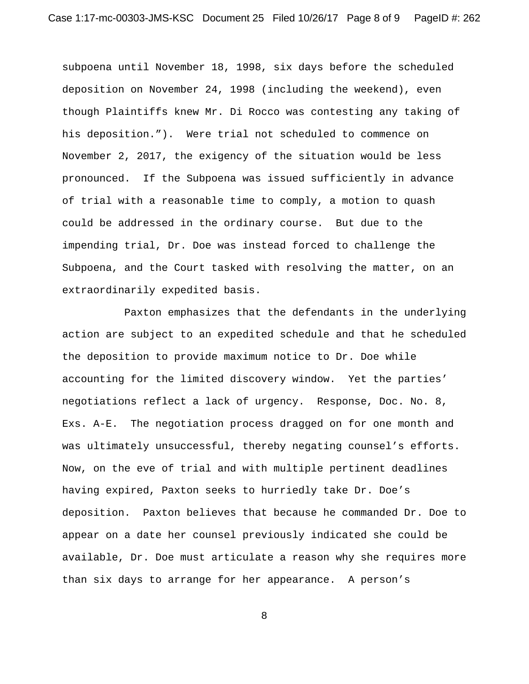subpoena until November 18, 1998, six days before the scheduled deposition on November 24, 1998 (including the weekend), even though Plaintiffs knew Mr. Di Rocco was contesting any taking of his deposition."). Were trial not scheduled to commence on November 2, 2017, the exigency of the situation would be less pronounced. If the Subpoena was issued sufficiently in advance of trial with a reasonable time to comply, a motion to quash could be addressed in the ordinary course. But due to the impending trial, Dr. Doe was instead forced to challenge the Subpoena, and the Court tasked with resolving the matter, on an extraordinarily expedited basis.

Paxton emphasizes that the defendants in the underlying action are subject to an expedited schedule and that he scheduled the deposition to provide maximum notice to Dr. Doe while accounting for the limited discovery window. Yet the parties' negotiations reflect a lack of urgency. Response, Doc. No. 8, Exs. A-E. The negotiation process dragged on for one month and was ultimately unsuccessful, thereby negating counsel's efforts. Now, on the eve of trial and with multiple pertinent deadlines having expired, Paxton seeks to hurriedly take Dr. Doe's deposition. Paxton believes that because he commanded Dr. Doe to appear on a date her counsel previously indicated she could be available, Dr. Doe must articulate a reason why she requires more than six days to arrange for her appearance. A person's

8